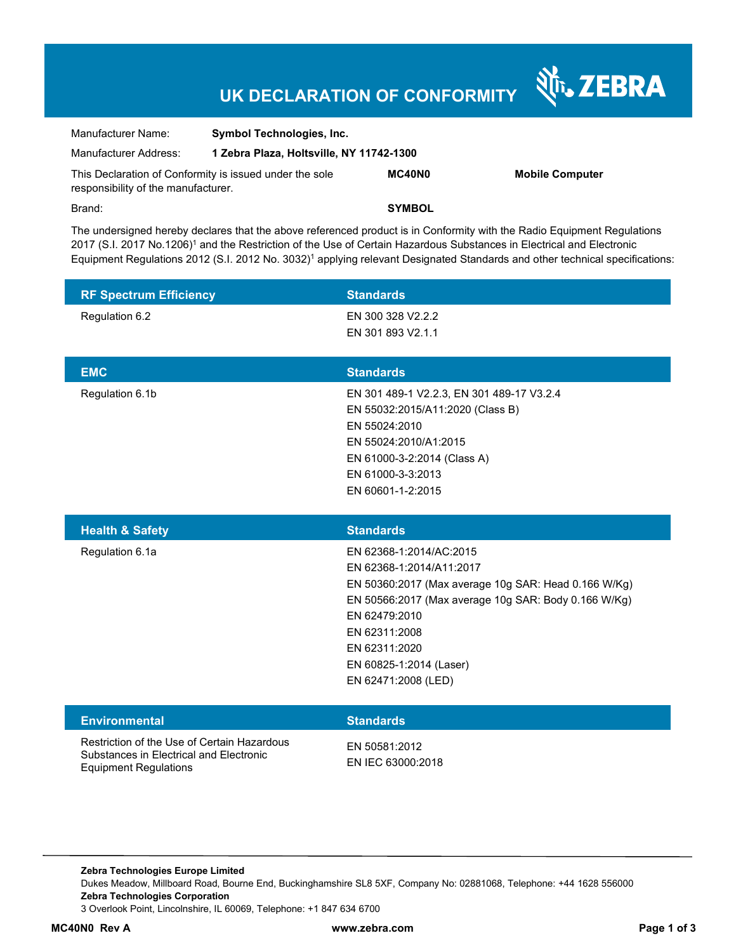## **UK DECLARATION OF CONFORMITY**

Nr. ZEBRA

| Manufacturer Name:                                                                             | <b>Symbol Technologies, Inc.</b>         |               |                        |  |
|------------------------------------------------------------------------------------------------|------------------------------------------|---------------|------------------------|--|
| Manufacturer Address:                                                                          | 1 Zebra Plaza, Holtsville, NY 11742-1300 |               |                        |  |
| This Declaration of Conformity is issued under the sole<br>responsibility of the manufacturer. |                                          | <b>MC40N0</b> | <b>Mobile Computer</b> |  |
| Brand:                                                                                         |                                          | <b>SYMBOL</b> |                        |  |

The undersigned hereby declares that the above referenced product is in Conformity with the Radio Equipment Regulations 2017 (S.I. 2017 No.1206)<sup>1</sup> and the Restriction of the Use of Certain Hazardous Substances in Electrical and Electronic Equipment Regulations 2012 (S.I. 2012 No. 3032)<sup>1</sup> applying relevant Designated Standards and other technical specifications:

| <b>RF Spectrum Efficiency</b> | <b>Standards</b>                                                                                             |
|-------------------------------|--------------------------------------------------------------------------------------------------------------|
| Regulation 6.2                | EN 300 328 V2.2.2                                                                                            |
|                               | EN 301 893 V2.1.1                                                                                            |
| <b>EMC</b>                    | <b>Standards</b>                                                                                             |
|                               |                                                                                                              |
| Regulation 6.1b               | EN 301 489-1 V2.2.3, EN 301 489-17 V3.2.4                                                                    |
|                               | EN 55032:2015/A11:2020 (Class B)<br>EN 55024:2010                                                            |
|                               | EN 55024:2010/A1:2015                                                                                        |
|                               | EN 61000-3-2:2014 (Class A)                                                                                  |
|                               | EN 61000-3-3:2013                                                                                            |
|                               | EN 60601-1-2:2015                                                                                            |
|                               |                                                                                                              |
| <b>Health &amp; Safety</b>    | <b>Standards</b>                                                                                             |
|                               |                                                                                                              |
|                               |                                                                                                              |
| Regulation 6.1a               | EN 62368-1:2014/AC:2015<br>EN 62368-1:2014/A11:2017                                                          |
|                               |                                                                                                              |
|                               | EN 50360:2017 (Max average 10g SAR: Head 0.166 W/Kg)<br>EN 50566:2017 (Max average 10g SAR: Body 0.166 W/Kg) |
|                               | EN 62479:2010                                                                                                |
|                               | EN 62311:2008                                                                                                |
|                               | EN 62311:2020                                                                                                |
|                               | EN 60825-1:2014 (Laser)                                                                                      |
|                               | EN 62471:2008 (LED)                                                                                          |
|                               |                                                                                                              |
| <b>Environmental</b>          | <b>Standards</b>                                                                                             |

**Zebra Technologies Europe Limited**  Dukes Meadow, Millboard Road, Bourne End, Buckinghamshire SL8 5XF, Company No: 02881068, Telephone: +44 1628 556000 **Zebra Technologies Corporation**  3 Overlook Point, Lincolnshire, IL 60069, Telephone: +1 847 634 6700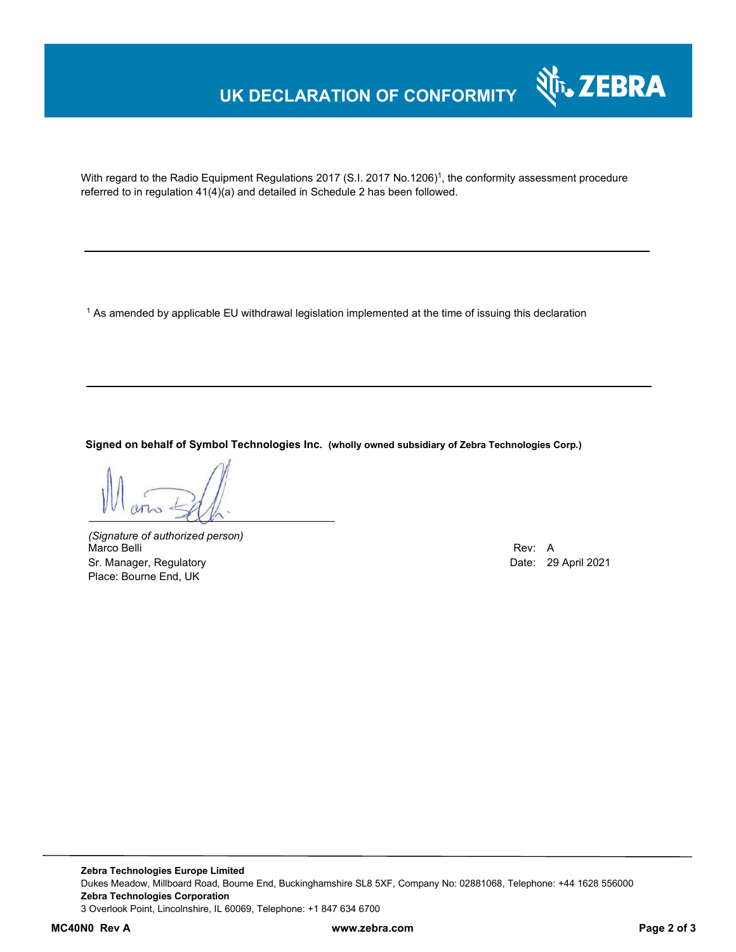## **UK DECLARATION OF CONFORMITY**



With regard to the Radio Equipment Regulations 2017 (S.I. 2017 No.1206)<sup>1</sup>, the conformity assessment procedure referred to in regulation 41(4)(a) and detailed in Schedule 2 has been followed.

1 As amended by applicable EU withdrawal legislation implemented at the time of issuing this declaration

**Signed on behalf of Symbol Technologies Inc. (wholly owned subsidiary of Zebra Technologies Corp.)**

*(Signature of authorized person)* Marco Belli Rev: A Sr. Manager, Regulatory **Date: 29 April 2021** Place: Bourne End, UK